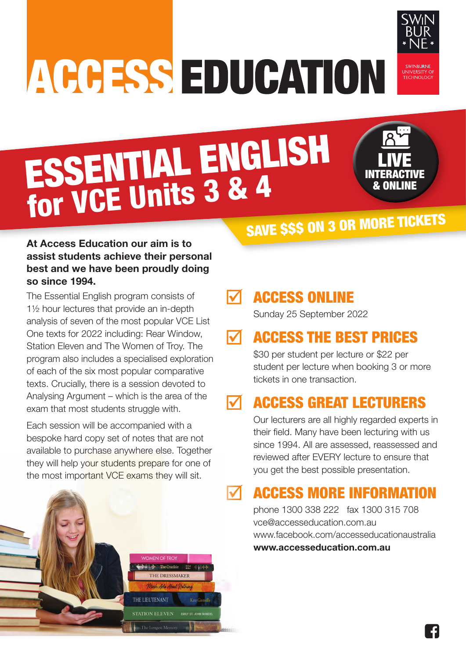# ACCESS EDUCATION



# ESSENTIAL ENGLISH for VCE Units 3 & 4



# SAVE \$\$\$ ON 3 OR MORE TICKETS

## **At Access Education our aim is to assist students achieve their personal best and we have been proudly doing so since 1994.**

The Essential English program consists of 1½ hour lectures that provide an in-depth analysis of seven of the most popular VCE List One texts for 2022 including: Rear Window, Station Eleven and The Women of Troy. The program also includes a specialised exploration of each of the six most popular comparative texts. Crucially, there is a session devoted to Analysing Argument – which is the area of the exam that most students struggle with.

Each session will be accompanied with a bespoke hard copy set of notes that are not available to purchase anywhere else. Together they will help your students prepare for one of the most important VCE exams they will sit.



# ACCESS ONLINE

Sunday 25 September 2022

#### ACCESS THE BEST PRICES  $\blacksquare$

\$30 per student per lecture or \$22 per student per lecture when booking 3 or more tickets in one transaction.

#### ACCESS GREAT LECTURERS M

Our lecturers are all highly regarded experts in their field. Many have been lecturing with us since 1994. All are assessed, reassessed and reviewed after EVERY lecture to ensure that you get the best possible presentation.

# ACCESS MORE INFORMATION

phone 1300 338 222 fax 1300 315 708 vce@accesseducation.com.au www.facebook.com/accesseducationaustralia **www.accesseducation.com.au**